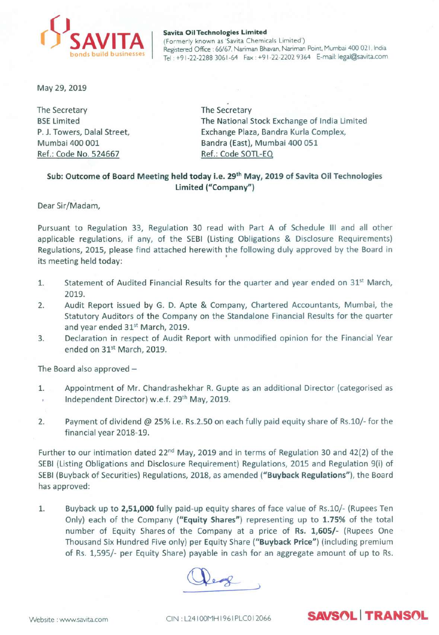

#### Savita Oil Technologies Limited (Formerly known as 'Savita Chemicals Limited') Registered Office: 66/67, Nariman Bhavan, Nariman Point, Mumbai 400 021, India Tel: +91-22-2288 3061-64 Fax: +91-22-2202 9364 E-mail: legal@Savita.com

May 29,2019

The Secretary **BSE Limited** P.J. Towers, Dalal Street, Mumbai 400 001 Ref.: Code No. 524667

. The Secretary The National Stock Exchange of India Limited Exchange Plaza, Bandra Kurla Complex, Bandra (East), Mumbai 400 051 Ref.: Code SOTL-EQ

### Sub: Outcome of Board Meeting held today i.e. 29<sup>th</sup> May, 2019 of Savita Oil Technologies Limited ("Company")

Dear Sir/Madam,

Pursuant to Regulation 33, Regulation 30 read with Part A of Schedule III and all other applicable regulations, if any, of the SEBI (Listing Obligations & Disclosure Requirements) Regulations, 2015, please find attached herewith the following duly approved by the Board in • its meeting held today:

- 1. Statement of Audited Financial Results for the quarter and year ended on  $31^{st}$  March, 2019.
- 2. Audit Report issued by G. D. Apte & Company, Chartered Accountants, Mumbai, the Statutory Auditors of the Company on the Standalone Financial Results for the quarter and year ended 31<sup>st</sup> March, 2019.
- 3. Declaration in respect of Audit Report with unmodified opinion for the Financial Year ended on 31<sup>st</sup> March, 2019.

The Board also approved  $-$ 

- 1. Appointment of Mr. Chandrashekhar R. Gupte as an additional Director (categorised as Independent Director) w.e.f. 29<sup>th</sup> May, 2019.  $\bar{E}$
- 2. Payment of dividend @ 25% i.e. Rs.2.50 on each fully paid equity share of Rs.lO/- for the financial year 2018-19.

Further to our intimation dated 22<sup>nd</sup> May, 2019 and in terms of Regulation 30 and 42(2) of the SEBI(Listing Obligations and Disclosure Requirement) Regulations, 2015 and Regulation 9(i) of SEBI (Buyback of Securities) Regulations, 2018, as amended ("Buyback Regulations"), the Board has approved:

1. Buyback up to 2,51,000 fully paid-up equity shares of face value of Rs.10/- (Rupees Ten Only) each of the Company ("Equity Shares") representing up to 1.75% of the total number of Equity Shares of the Company at a price of Rs. 1,605/- (Rupees One Thousand Six Hundred Five only) per Equity Share ("Buyback Price") (including premium of Rs. 1,595/- per Equity Share) payable in cash for an aggregate amount of up to Rs.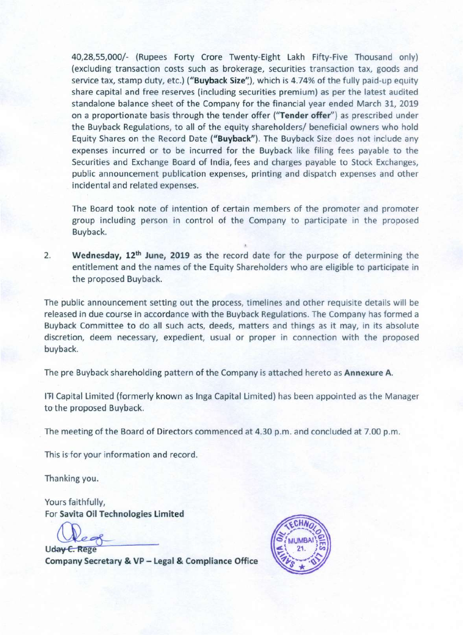40,28,55,000/- (Rupees Forty Crore Twenty-Eight Lakh Fifty-Five Thousand only) (excluding transaction costs such as brokerage, securities transaction tax, goods and service tax, stamp duty, etc.) ("Buyback Size"), which is 4.74% of the fully paid-up equity share capital and free reserves (including securities premium) as per the latest audited standalone balance sheet of the Company for the financial year ended March 31, 2019 on a proportionate basis through the tender offer ("Tender offer") as prescribed under the Buyback Regulations, to all of the equity shareholders/ beneficial owners who hold Equity Shares on the Record Date ("Buyback"). The Buyback Size does not include any expenses incurred or to be incurred for the Buyback like filing fees payable to the Securities and Exchange Board of India, fees and charges payable to Stock Exchanges, public announcement publication expenses, printing and dispatch expenses and other incidental and related expenses.

The Board took note of intention of certain members of the promoter and promoter group including person in control of the Company to participate in the proposed Buyback.

2. Wednesday, 12<sup>th</sup> June, 2019 as the record date for the purpose of determining the entitlement and the names of the Equity Shareholders who are eligible to participate in the proposed Buyback.

The public announcement setting out the process, timelines and other requisite details will be released In due course in accordance with the Buyback Regulations. The Company has formed a Buyback Committee to do all such acts, deeds, matters and things as it may, in its absolute discretion, deem necessary, expedient, usual or proper in connection with the proposed buyback.

The pre Buyback shareholding pattern of the Company is attached hereto as Annexure A.

<sup>11</sup>'1 Capital Limited (formerly known as Inga Capital Limited) has been appointed as the Manager to the proposed Buyback.

. The meeting of the Board of Directors commenced at 4.30 p.m. and concluded at 7.00 p.m.

This is for your information and record.

Thanking you.

Yours faithfully, For Savita Oil Technologies Limited

Uday C. Rege Company Secretary & VP - Legal & Compliance Office